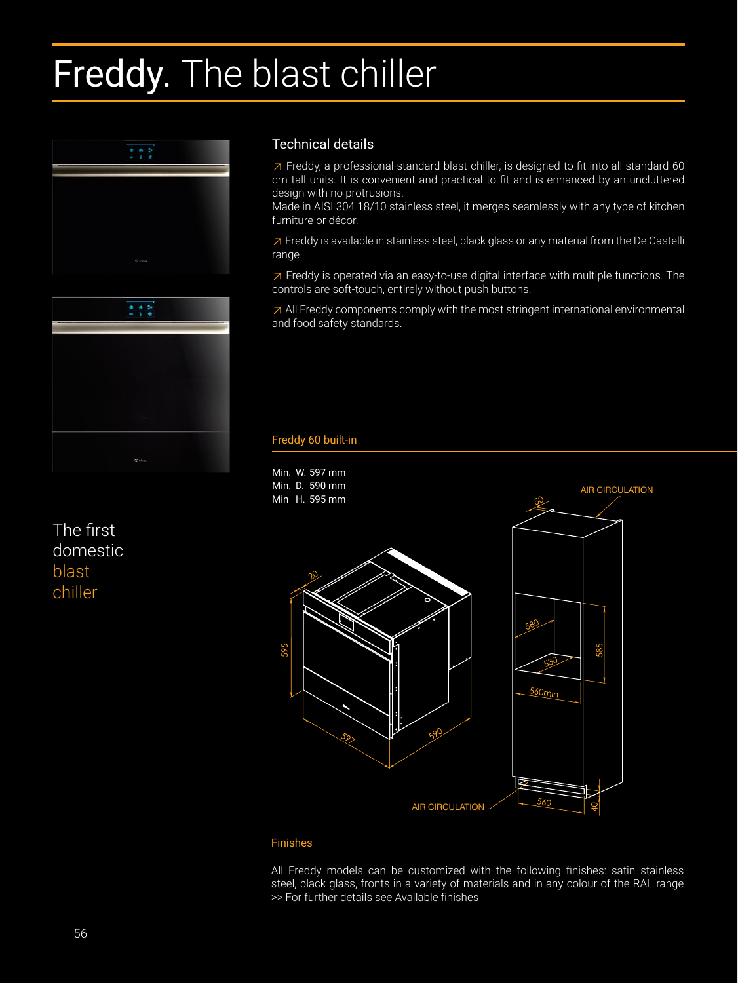# Freddy. The blast chiller





The first domestic blast chiller

### Technical details

≥ Freddy, a professional-standard blast chiller, is designed to fit into all standard 60 cm tall units. It is convenient and practical to fit and is enhanced by an uncluttered design with no protrusions.

Made in AISI 304 18/10 stainless steel, it merges seamlessly with any type of kitchen furniture or décor.

≥ Freddy is available in stainless steel, black glass or any material from the De Castelli range.

≥ Freddy is operated via an easy-to-use digital interface with multiple functions. The controls are soft-touch, entirely without push buttons.

≥ All Freddy components comply with the most stringent international environmental and food safety standards.

#### Freddy 60 built-in



#### Finishes

All Freddy models can be customized with the following finishes: satin stainless steel, black glass, fronts in a variety of materials and in any colour of the RAL range >> For further details see Available finishes